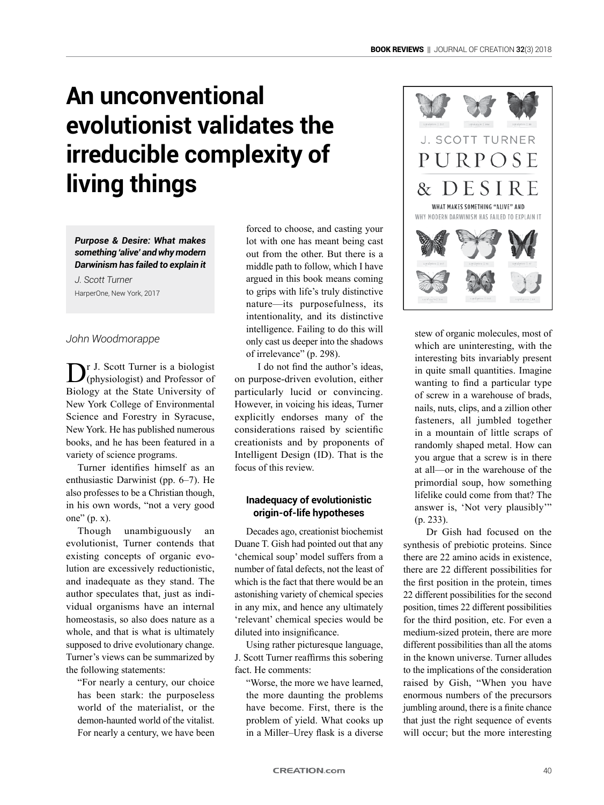# **An unconventional evolutionist validates the irreducible complexity of living things**

*Purpose & Desire: What makes something 'alive' and why modern Darwinism has failed to explain it J. Scott Turner*

HarperOne, New York, 2017

#### *John Woodmorappe*

Dr J. Scott Turner is a biologist<br>
(physiologist) and Professor of Biology at the State University of New York College of Environmental Science and Forestry in Syracuse, New York. He has published numerous books, and he has been featured in a variety of science programs.

Turner identifies himself as an enthusiastic Darwinist (pp. 6–7). He also professes to be a Christian though, in his own words, "not a very good one" (p. x).

Though unambiguously an evolutionist, Turner contends that existing concepts of organic evolution are excessively reductionistic, and inadequate as they stand. The author speculates that, just as individual organisms have an internal homeostasis, so also does nature as a whole, and that is what is ultimately supposed to drive evolutionary change. Turner's views can be summarized by the following statements:

"For nearly a century, our choice has been stark: the purposeless world of the materialist, or the demon-haunted world of the vitalist. For nearly a century, we have been forced to choose, and casting your lot with one has meant being cast out from the other. But there is a middle path to follow, which I have argued in this book means coming to grips with life's truly distinctive nature—its purposefulness, its intentionality, and its distinctive intelligence. Failing to do this will only cast us deeper into the shadows of irrelevance" (p. 298).

I do not find the author's ideas, on purpose-driven evolution, either particularly lucid or convincing. However, in voicing his ideas, Turner explicitly endorses many of the considerations raised by scientific creationists and by proponents of Intelligent Design (ID). That is the focus of this review.

#### **Inadequacy of evolutionistic origin-of-life hypotheses**

Decades ago, creationist biochemist Duane T. Gish had pointed out that any 'chemical soup' model suffers from a number of fatal defects, not the least of which is the fact that there would be an astonishing variety of chemical species in any mix, and hence any ultimately 'relevant' chemical species would be diluted into insignificance.

Using rather picturesque language, J. Scott Turner reaffirms this sobering fact. He comments:

"Worse, the more we have learned, the more daunting the problems have become. First, there is the problem of yield. What cooks up in a Miller–Urey flask is a diverse



stew of organic molecules, most of which are uninteresting, with the interesting bits invariably present in quite small quantities. Imagine wanting to find a particular type of screw in a warehouse of brads, nails, nuts, clips, and a zillion other fasteners, all jumbled together in a mountain of little scraps of randomly shaped metal. How can you argue that a screw is in there at all—or in the warehouse of the primordial soup, how something lifelike could come from that? The answer is, 'Not very plausibly'" (p. 233).

Dr Gish had focused on the synthesis of prebiotic proteins. Since there are 22 amino acids in existence, there are 22 different possibilities for the first position in the protein, times 22 different possibilities for the second position, times 22 different possibilities for the third position, etc. For even a medium-sized protein, there are more different possibilities than all the atoms in the known universe. Turner alludes to the implications of the consideration raised by Gish, "When you have enormous numbers of the precursors jumbling around, there is a finite chance that just the right sequence of events will occur; but the more interesting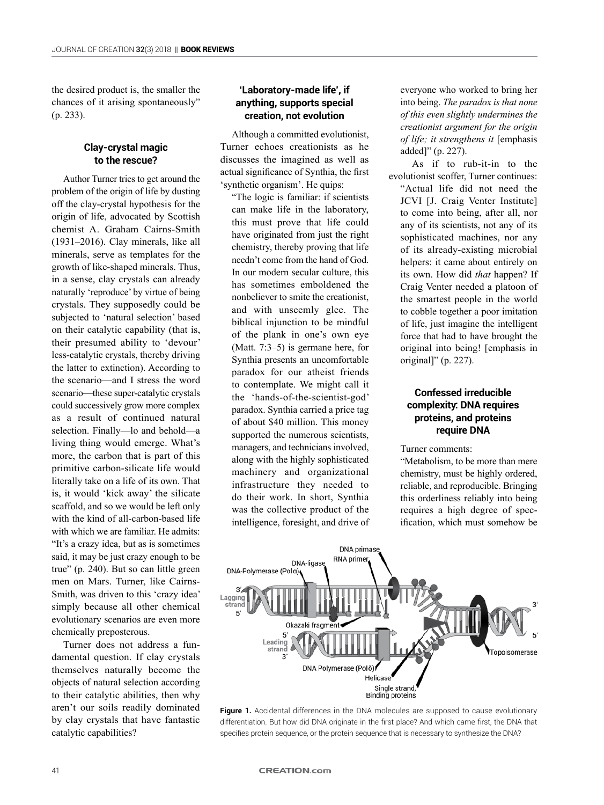the desired product is, the smaller the chances of it arising spontaneously" (p. 233).

#### **Clay-crystal magic to the rescue?**

Author Turner tries to get around the problem of the origin of life by dusting off the clay-crystal hypothesis for the origin of life, advocated by Scottish chemist A. Graham Cairns-Smith (1931–2016). Clay minerals, like all minerals, serve as templates for the growth of like-shaped minerals. Thus, in a sense, clay crystals can already naturally 'reproduce' by virtue of being crystals. They supposedly could be subjected to 'natural selection' based on their catalytic capability (that is, their presumed ability to 'devour' less-catalytic crystals, thereby driving the latter to extinction). According to the scenario—and I stress the word scenario—these super-catalytic crystals could successively grow more complex as a result of continued natural selection. Finally—lo and behold—a living thing would emerge. What's more, the carbon that is part of this primitive carbon-silicate life would literally take on a life of its own. That is, it would 'kick away' the silicate scaffold, and so we would be left only with the kind of all-carbon-based life with which we are familiar. He admits: "It's a crazy idea, but as is sometimes said, it may be just crazy enough to be true" (p. 240). But so can little green men on Mars. Turner, like Cairns-Smith, was driven to this 'crazy idea' simply because all other chemical evolutionary scenarios are even more chemically preposterous.

Turner does not address a fundamental question. If clay crystals themselves naturally become the objects of natural selection according to their catalytic abilities, then why aren't our soils readily dominated by clay crystals that have fantastic catalytic capabilities?

#### **'Laboratory-made life', if anything, supports special creation, not evolution**

Although a committed evolutionist, Turner echoes creationists as he discusses the imagined as well as actual significance of Synthia, the first 'synthetic organism'. He quips:

"The logic is familiar: if scientists can make life in the laboratory, this must prove that life could have originated from just the right chemistry, thereby proving that life needn't come from the hand of God. In our modern secular culture, this has sometimes emboldened the nonbeliever to smite the creationist, and with unseemly glee. The biblical injunction to be mindful of the plank in one's own eye (Matt. 7:3–5) is germane here, for Synthia presents an uncomfortable paradox for our atheist friends to contemplate. We might call it the 'hands-of-the-scientist-god' paradox. Synthia carried a price tag of about \$40 million. This money supported the numerous scientists, managers, and technicians involved, along with the highly sophisticated machinery and organizational infrastructure they needed to do their work. In short, Synthia was the collective product of the intelligence, foresight, and drive of everyone who worked to bring her into being. *The paradox is that none of this even slightly undermines the creationist argument for the origin of life; it strengthens it* [emphasis added]" (p. 227).

As if to rub-it-in to the evolutionist scoffer, Turner continues: "Actual life did not need the JCVI [J. Craig Venter Institute] to come into being, after all, nor any of its scientists, not any of its sophisticated machines, nor any of its already-existing microbial helpers: it came about entirely on its own. How did *that* happen? If Craig Venter needed a platoon of the smartest people in the world to cobble together a poor imitation of life, just imagine the intelligent force that had to have brought the original into being! [emphasis in original]" (p. 227).

# **Confessed irreducible complexity: DNA requires proteins, and proteins require DNA**

Turner comments:

"Metabolism, to be more than mere chemistry, must be highly ordered, reliable, and reproducible. Bringing this orderliness reliably into being requires a high degree of specification, which must somehow be



**Figure 1.** Accidental differences in the DNA molecules are supposed to cause evolutionary differentiation. But how did DNA originate in the first place? And which came first, the DNA that specifies protein sequence, or the protein sequence that is necessary to synthesize the DNA?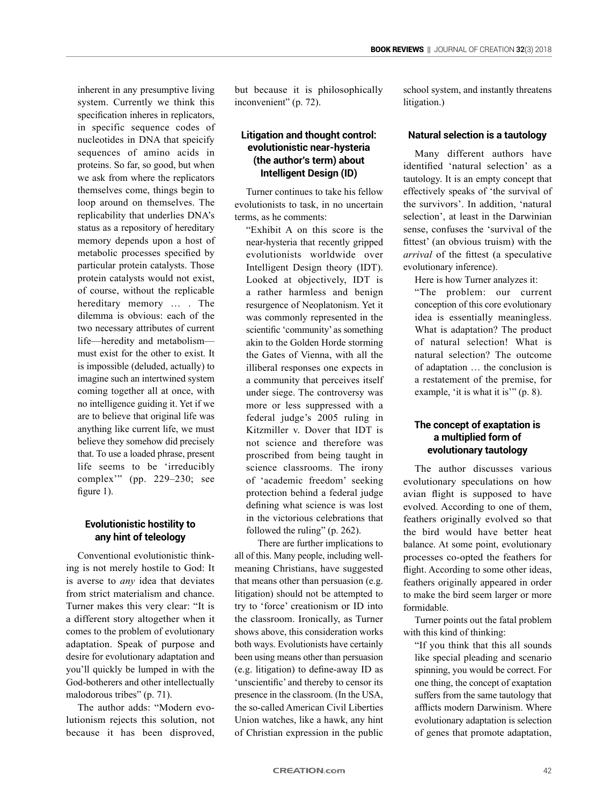inherent in any presumptive living system. Currently we think this specification inheres in replicators, in specific sequence codes of nucleotides in DNA that speicify sequences of amino acids in proteins. So far, so good, but when we ask from where the replicators themselves come, things begin to loop around on themselves. The replicability that underlies DNA's status as a repository of hereditary memory depends upon a host of metabolic processes specified by particular protein catalysts. Those protein catalysts would not exist, of course, without the replicable hereditary memory ... . The dilemma is obvious: each of the two necessary attributes of current life—heredity and metabolism must exist for the other to exist. It is impossible (deluded, actually) to imagine such an intertwined system coming together all at once, with no intelligence guiding it. Yet if we are to believe that original life was anything like current life, we must believe they somehow did precisely that. To use a loaded phrase, present life seems to be 'irreducibly complex'" (pp. 229–230; see figure 1).

# **Evolutionistic hostility to any hint of teleology**

Conventional evolutionistic thinking is not merely hostile to God: It is averse to *any* idea that deviates from strict materialism and chance. Turner makes this very clear: "It is a different story altogether when it comes to the problem of evolutionary adaptation. Speak of purpose and desire for evolutionary adaptation and you'll quickly be lumped in with the God-botherers and other intellectually malodorous tribes" (p. 71).

The author adds: "Modern evolutionism rejects this solution, not because it has been disproved, but because it is philosophically inconvenient" (p. 72).

# **Litigation and thought control: evolutionistic near-hysteria (the author's term) about Intelligent Design (ID)**

Turner continues to take his fellow evolutionists to task, in no uncertain terms, as he comments:

"Exhibit A on this score is the near-hysteria that recently gripped evolutionists worldwide over Intelligent Design theory (IDT). Looked at objectively, IDT is a rather harmless and benign resurgence of Neoplatonism. Yet it was commonly represented in the scientific 'community' as something akin to the Golden Horde storming the Gates of Vienna, with all the illiberal responses one expects in a community that perceives itself under siege. The controversy was more or less suppressed with a federal judge's 2005 ruling in Kitzmiller v. Dover that IDT is not science and therefore was proscribed from being taught in science classrooms. The irony of 'academic freedom' seeking protection behind a federal judge defining what science is was lost in the victorious celebrations that followed the ruling" (p. 262).

There are further implications to all of this. Many people, including wellmeaning Christians, have suggested that means other than persuasion (e.g. litigation) should not be attempted to try to 'force' creationism or ID into the classroom. Ironically, as Turner shows above, this consideration works both ways. Evolutionists have certainly been using means other than persuasion (e.g. litigation) to define-away ID as 'unscientific' and thereby to censor its presence in the classroom. (In the USA, the so-called American Civil Liberties Union watches, like a hawk, any hint of Christian expression in the public

school system, and instantly threatens litigation.)

#### **Natural selection is a tautology**

Many different authors have identified 'natural selection' as a tautology. It is an empty concept that effectively speaks of 'the survival of the survivors'. In addition, 'natural selection', at least in the Darwinian sense, confuses the 'survival of the fittest' (an obvious truism) with the *arrival* of the fittest (a speculative evolutionary inference).

Here is how Turner analyzes it:

"The problem: our current conception of this core evolutionary idea is essentially meaningless. What is adaptation? The product of natural selection! What is natural selection? The outcome of adaptation … the conclusion is a restatement of the premise, for example, 'it is what it is'" (p. 8).

# **The concept of exaptation is a multiplied form of evolutionary tautology**

The author discusses various evolutionary speculations on how avian flight is supposed to have evolved. According to one of them, feathers originally evolved so that the bird would have better heat balance. At some point, evolutionary processes co-opted the feathers for flight. According to some other ideas, feathers originally appeared in order to make the bird seem larger or more formidable.

Turner points out the fatal problem with this kind of thinking:

"If you think that this all sounds like special pleading and scenario spinning, you would be correct. For one thing, the concept of exaptation suffers from the same tautology that afflicts modern Darwinism. Where evolutionary adaptation is selection of genes that promote adaptation,